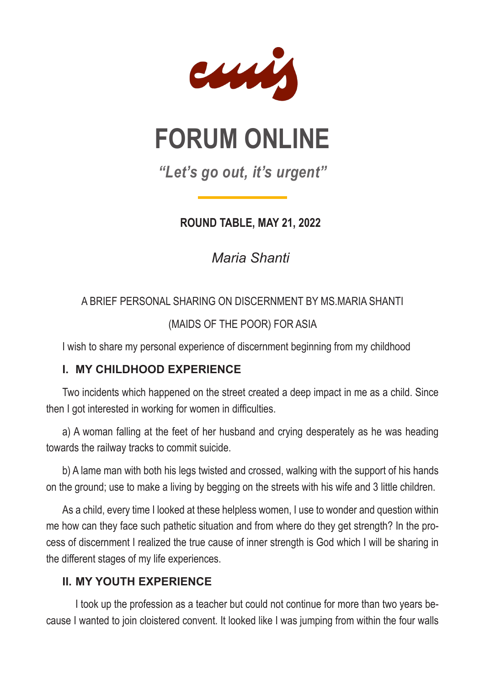curity

# **FORUM ONLINE**

*"Let's go out, it's urgent"*

# **ROUND TABLE, MAY 21, 2022**

*Maria Shanti*

# A BRIEF PERSONAL SHARING ON DISCERNMENT BY MS.MARIA SHANTI

## (MAIDS OF THE POOR) FOR ASIA

I wish to share my personal experience of discernment beginning from my childhood

#### **I. MY CHILDHOOD EXPERIENCE**

Two incidents which happened on the street created a deep impact in me as a child. Since then I got interested in working for women in difficulties.

a) A woman falling at the feet of her husband and crying desperately as he was heading towards the railway tracks to commit suicide.

b) A lame man with both his legs twisted and crossed, walking with the support of his hands on the ground; use to make a living by begging on the streets with his wife and 3 little children.

As a child, every time I looked at these helpless women, I use to wonder and question within me how can they face such pathetic situation and from where do they get strength? In the process of discernment I realized the true cause of inner strength is God which I will be sharing in the different stages of my life experiences.

## **II. MY YOUTH EXPERIENCE**

I took up the profession as a teacher but could not continue for more than two years because I wanted to join cloistered convent. It looked like I was jumping from within the four walls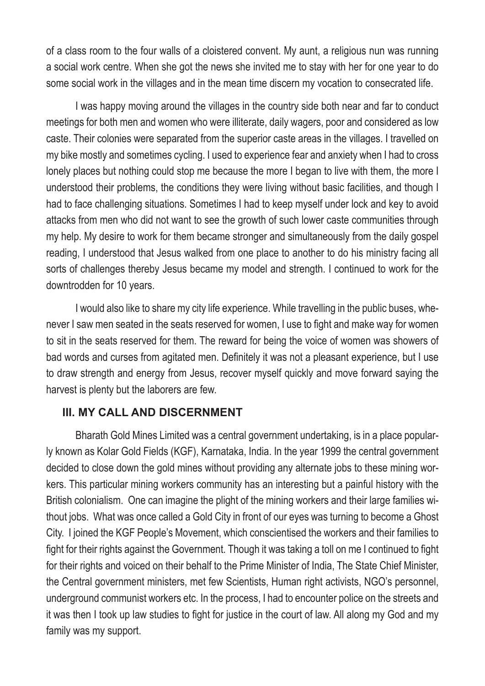of a class room to the four walls of a cloistered convent. My aunt, a religious nun was running a social work centre. When she got the news she invited me to stay with her for one year to do some social work in the villages and in the mean time discern my vocation to consecrated life.

I was happy moving around the villages in the country side both near and far to conduct meetings for both men and women who were illiterate, daily wagers, poor and considered as low caste. Their colonies were separated from the superior caste areas in the villages. I travelled on my bike mostly and sometimes cycling. I used to experience fear and anxiety when I had to cross lonely places but nothing could stop me because the more I began to live with them, the more I understood their problems, the conditions they were living without basic facilities, and though I had to face challenging situations. Sometimes I had to keep myself under lock and key to avoid attacks from men who did not want to see the growth of such lower caste communities through my help. My desire to work for them became stronger and simultaneously from the daily gospel reading, I understood that Jesus walked from one place to another to do his ministry facing all sorts of challenges thereby Jesus became my model and strength. I continued to work for the downtrodden for 10 years.

I would also like to share my city life experience. While travelling in the public buses, whenever I saw men seated in the seats reserved for women, I use to fight and make way for women to sit in the seats reserved for them. The reward for being the voice of women was showers of bad words and curses from agitated men. Definitely it was not a pleasant experience, but I use to draw strength and energy from Jesus, recover myself quickly and move forward saying the harvest is plenty but the laborers are few.

#### **III. MY CALL AND DISCERNMENT**

Bharath Gold Mines Limited was a central government undertaking, is in a place popularly known as Kolar Gold Fields (KGF), Karnataka, India. In the year 1999 the central government decided to close down the gold mines without providing any alternate jobs to these mining workers. This particular mining workers community has an interesting but a painful history with the British colonialism. One can imagine the plight of the mining workers and their large families without jobs. What was once called a Gold City in front of our eyes was turning to become a Ghost City. I joined the KGF People's Movement, which conscientised the workers and their families to fight for their rights against the Government. Though it was taking a toll on me I continued to fight for their rights and voiced on their behalf to the Prime Minister of India, The State Chief Minister, the Central government ministers, met few Scientists, Human right activists, NGO's personnel, underground communist workers etc. In the process, I had to encounter police on the streets and it was then I took up law studies to fight for justice in the court of law. All along my God and my family was my support.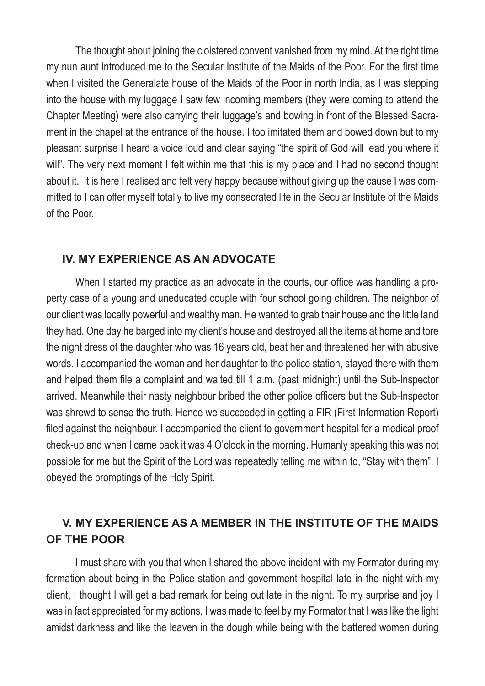The thought about joining the cloistered convent vanished from my mind. At the right time my nun aunt introduced me to the Secular Institute of the Maids of the Poor. For the first time when I visited the Generalate house of the Maids of the Poor in north India, as I was stepping into the house with my luggage I saw few incoming members (they were coming to attend the Chapter Meeting) were also carrying their luggage's and bowing in front of the Blessed Sacrament in the chapel at the entrance of the house. I too imitated them and bowed down but to my pleasant surprise I heard a voice loud and clear saying "the spirit of God will lead you where it will". The very next moment I felt within me that this is my place and I had no second thought about it. It is here I realised and felt very happy because without giving up the cause I was committed to I can offer myself totally to live my consecrated life in the Secular Institute of the Maids of the Poor.

#### **IV. MY EXPERIENCE AS AN ADVOCATE**

When I started my practice as an advocate in the courts, our office was handling a property case of a young and uneducated couple with four school going children. The neighbor of our client was locally powerful and wealthy man. He wanted to grab their house and the little land they had. One day he barged into my client's house and destroyed all the items at home and tore the night dress of the daughter who was 16 years old, beat her and threatened her with abusive words. I accompanied the woman and her daughter to the police station, stayed there with them and helped them file a complaint and waited till 1 a.m. (past midnight) until the Sub-Inspector arrived. Meanwhile their nasty neighbour bribed the other police officers but the Sub-Inspector was shrewd to sense the truth. Hence we succeeded in getting a FIR (First Information Report) filed against the neighbour. I accompanied the client to government hospital for a medical proof check-up and when I came back it was 4 O'clock in the morning. Humanly speaking this was not possible for me but the Spirit of the Lord was repeatedly telling me within to, "Stay with them". I obeyed the promptings of the Holy Spirit.

## **V. MY EXPERIENCE AS A MEMBER IN THE INSTITUTE OF THE MAIDS OF THE POOR**

I must share with you that when I shared the above incident with my Formator during my formation about being in the Police station and government hospital late in the night with my client, I thought I will get a bad remark for being out late in the night. To my surprise and joy I was in fact appreciated for my actions, I was made to feel by my Formator that I was like the light amidst darkness and like the leaven in the dough while being with the battered women during